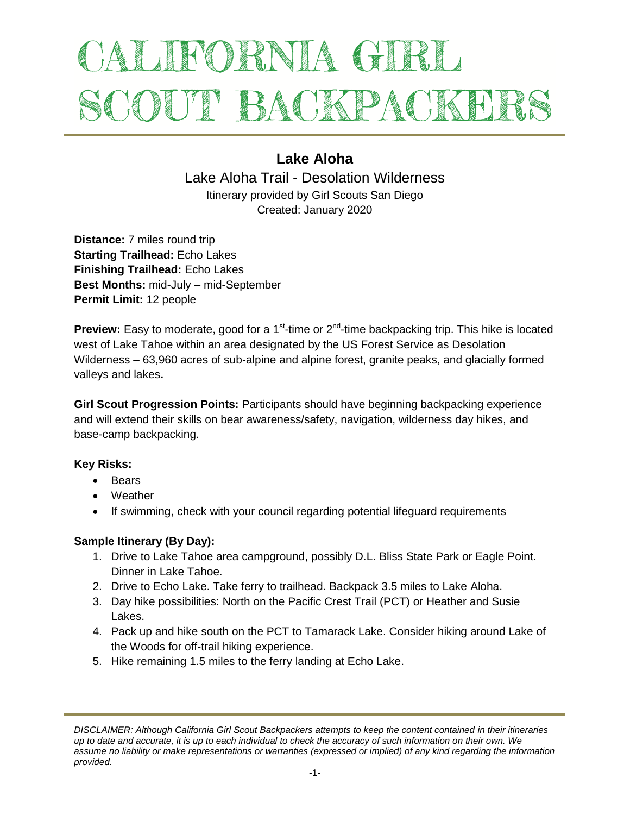# ALIFORNIA GIRL SCOUT BACKPACKEI

# **Lake Aloha**

Lake Aloha Trail - Desolation Wilderness Itinerary provided by Girl Scouts San Diego Created: January 2020

**Distance:** 7 miles round trip **Starting Trailhead:** Echo Lakes **Finishing Trailhead:** Echo Lakes **Best Months:** mid-July – mid-September **Permit Limit:** 12 people

Preview: Easy to moderate, good for a 1<sup>st</sup>-time or 2<sup>nd</sup>-time backpacking trip. This hike is located west of Lake Tahoe within an area designated by the US Forest Service as Desolation Wilderness – 63,960 acres of sub-alpine and alpine forest, granite peaks, and glacially formed valleys and lakes**.** 

**Girl Scout Progression Points:** Participants should have beginning backpacking experience and will extend their skills on bear awareness/safety, navigation, wilderness day hikes, and base-camp backpacking.

# **Key Risks:**

- Bears
- Weather
- If swimming, check with your council regarding potential lifeguard requirements

# **Sample Itinerary (By Day):**

- 1. Drive to Lake Tahoe area campground, possibly D.L. Bliss State Park or Eagle Point. Dinner in Lake Tahoe.
- 2. Drive to Echo Lake. Take ferry to trailhead. Backpack 3.5 miles to Lake Aloha.
- 3. Day hike possibilities: North on the Pacific Crest Trail (PCT) or Heather and Susie Lakes.
- 4. Pack up and hike south on the PCT to Tamarack Lake. Consider hiking around Lake of the Woods for off-trail hiking experience.
- 5. Hike remaining 1.5 miles to the ferry landing at Echo Lake.

*DISCLAIMER: Although California Girl Scout Backpackers attempts to keep the content contained in their itineraries up to date and accurate, it is up to each individual to check the accuracy of such information on their own. We assume no liability or make representations or warranties (expressed or implied) of any kind regarding the information provided.*